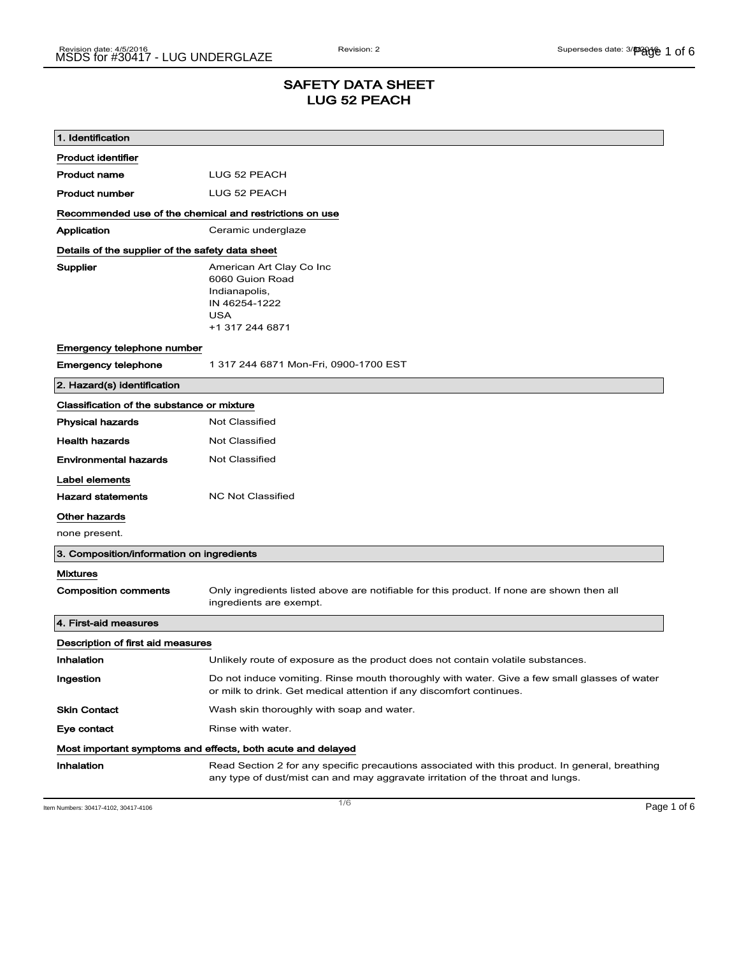### SAFETY DATA SHEET LUG 52 PEACH

| 1. Identification                                           |                                                                                                                                                                                    |  |
|-------------------------------------------------------------|------------------------------------------------------------------------------------------------------------------------------------------------------------------------------------|--|
| <b>Product identifier</b>                                   |                                                                                                                                                                                    |  |
| Product name                                                | LUG 52 PEACH                                                                                                                                                                       |  |
| <b>Product number</b>                                       | LUG 52 PEACH                                                                                                                                                                       |  |
| Recommended use of the chemical and restrictions on use     |                                                                                                                                                                                    |  |
| Application                                                 | Ceramic underglaze                                                                                                                                                                 |  |
| Details of the supplier of the safety data sheet            |                                                                                                                                                                                    |  |
| Supplier                                                    | American Art Clay Co Inc<br>6060 Guion Road<br>Indianapolis,<br>IN 46254-1222<br><b>USA</b><br>+1 317 244 6871                                                                     |  |
| Emergency telephone number                                  |                                                                                                                                                                                    |  |
| <b>Emergency telephone</b>                                  | 1 317 244 6871 Mon-Fri, 0900-1700 EST                                                                                                                                              |  |
| 2. Hazard(s) identification                                 |                                                                                                                                                                                    |  |
| Classification of the substance or mixture                  |                                                                                                                                                                                    |  |
| <b>Physical hazards</b>                                     | <b>Not Classified</b>                                                                                                                                                              |  |
| <b>Health hazards</b>                                       | Not Classified                                                                                                                                                                     |  |
| <b>Environmental hazards</b>                                | <b>Not Classified</b>                                                                                                                                                              |  |
| Label elements                                              |                                                                                                                                                                                    |  |
| <b>Hazard statements</b>                                    | <b>NC Not Classified</b>                                                                                                                                                           |  |
| Other hazards                                               |                                                                                                                                                                                    |  |
| none present.                                               |                                                                                                                                                                                    |  |
| 3. Composition/information on ingredients                   |                                                                                                                                                                                    |  |
| Mixtures                                                    |                                                                                                                                                                                    |  |
| <b>Composition comments</b>                                 | Only ingredients listed above are notifiable for this product. If none are shown then all<br>ingredients are exempt.                                                               |  |
| 4. First-aid measures                                       |                                                                                                                                                                                    |  |
| Description of first aid measures                           |                                                                                                                                                                                    |  |
| Inhalation                                                  | Unlikely route of exposure as the product does not contain volatile substances.                                                                                                    |  |
| Ingestion                                                   | Do not induce vomiting. Rinse mouth thoroughly with water. Give a few small glasses of water<br>or milk to drink. Get medical attention if any discomfort continues.               |  |
| <b>Skin Contact</b>                                         | Wash skin thoroughly with soap and water.                                                                                                                                          |  |
| Eye contact                                                 | Rinse with water.                                                                                                                                                                  |  |
| Most important symptoms and effects, both acute and delayed |                                                                                                                                                                                    |  |
| Inhalation                                                  | Read Section 2 for any specific precautions associated with this product. In general, breathing<br>any type of dust/mist can and may aggravate irritation of the throat and lungs. |  |

Item Numbers: 30417-4102, 30417-4106 Page 1 of 6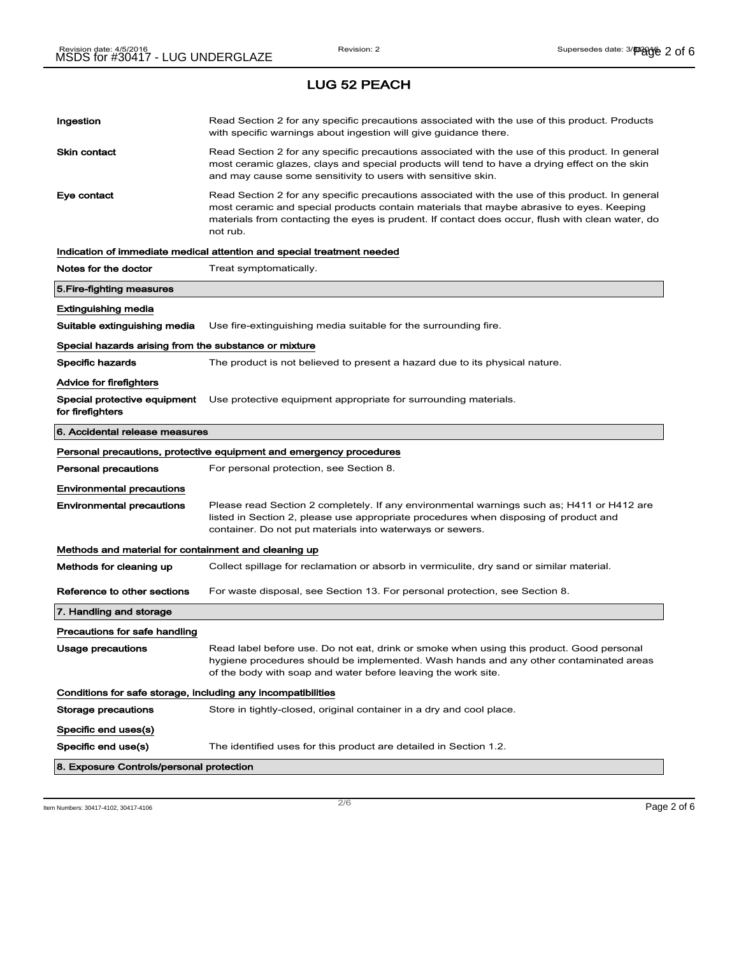# Ingestion **Read Section 2 for any specific precautions associated with the use of this product. Products** with specific warnings about ingestion will give guidance there. Skin contact **Read Section 2 for any specific precautions associated with the use of this product. In general** most ceramic glazes, clays and special products will tend to have a drying effect on the skin and may cause some sensitivity to users with sensitive skin. Eye contact **Read Section 2 for any specific precautions associated with the use of this product. In general** most ceramic and special products contain materials that maybe abrasive to eyes. Keeping materials from contacting the eyes is prudent. If contact does occur, flush with clean water, do not rub. Indication of immediate medical attention and special treatment needed Notes for the doctor Treat symptomatically. 5.Fire-fighting measures Extinguishing media Suitable extinguishing media Use fire-extinguishing media suitable for the surrounding fire. Special hazards arising from the substance or mixture Specific hazards The product is not believed to present a hazard due to its physical nature. Advice for firefighters Special protective equipment Use protective equipment appropriate for surrounding materials. for firefighters 6. Accidental release measures Personal precautions, protective equipment and emergency procedures Personal precautions For personal protection, see Section 8. Environmental precautions Environmental precautions Please read Section 2 completely. If any environmental warnings such as; H411 or H412 are listed in Section 2, please use appropriate procedures when disposing of product and container. Do not put materials into waterways or sewers. Methods and material for containment and cleaning up Methods for cleaning up Collect spillage for reclamation or absorb in vermiculite, dry sand or similar material. Reference to other sections For waste disposal, see Section 13. For personal protection, see Section 8. 7. Handling and storage Precautions for safe handling Usage precautions **Read label before use. Do not eat, drink or smoke when using this product. Good personal** hygiene procedures should be implemented. Wash hands and any other contaminated areas of the body with soap and water before leaving the work site. Conditions for safe storage, including any incompatibilities Storage precautions Store in tightly-closed, original container in a dry and cool place. Specific end uses(s) Specific end use(s) The identified uses for this product are detailed in Section 1.2. 8. Exposure Controls/personal protection

Item Numbers: 30417-4102, 30417-4106 Page 2 of 6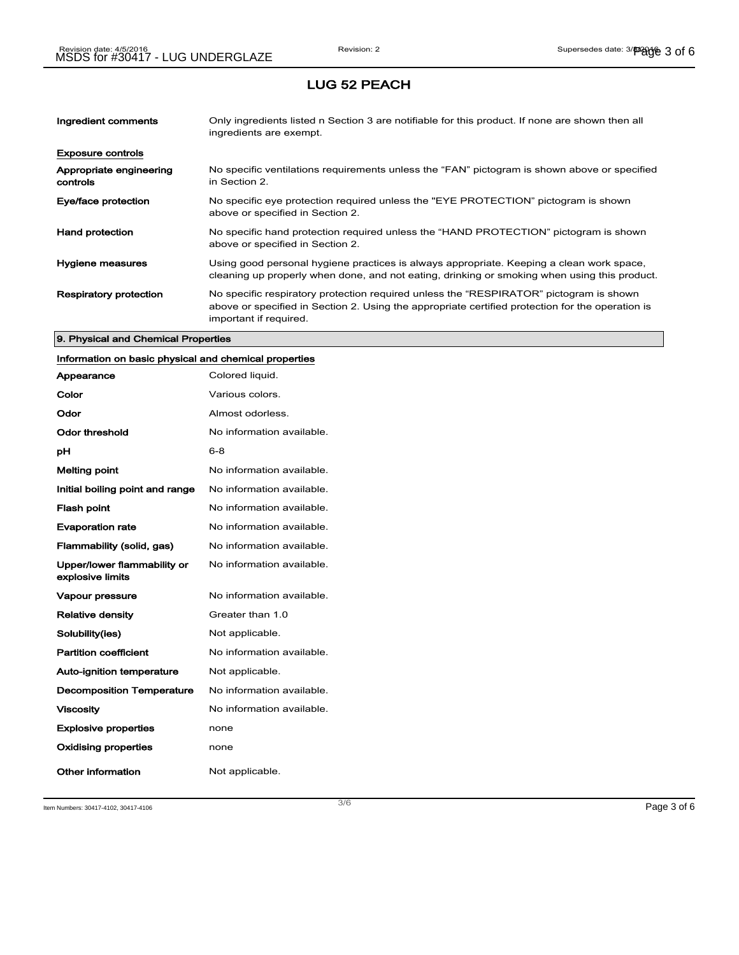| Ingredient comments                 | Only ingredients listed n Section 3 are notifiable for this product. If none are shown then all<br>ingredients are exempt.                                                                                           |
|-------------------------------------|----------------------------------------------------------------------------------------------------------------------------------------------------------------------------------------------------------------------|
| <b>Exposure controls</b>            |                                                                                                                                                                                                                      |
| Appropriate engineering<br>controls | No specific ventilations requirements unless the "FAN" pictogram is shown above or specified<br>in Section 2.                                                                                                        |
| Eye/face protection                 | No specific eye protection required unless the "EYE PROTECTION" pictogram is shown<br>above or specified in Section 2.                                                                                               |
| <b>Hand protection</b>              | No specific hand protection required unless the "HAND PROTECTION" pictogram is shown<br>above or specified in Section 2.                                                                                             |
| Hygiene measures                    | Using good personal hygiene practices is always appropriate. Keeping a clean work space,<br>cleaning up properly when done, and not eating, drinking or smoking when using this product.                             |
| <b>Respiratory protection</b>       | No specific respiratory protection required unless the "RESPIRATOR" pictogram is shown<br>above or specified in Section 2. Using the appropriate certified protection for the operation is<br>important if required. |

#### 9. Physical and Chemical Properties

## Information on basic physical and chemical properties

| Appearance                                      | Colored liquid.           |
|-------------------------------------------------|---------------------------|
| Color                                           | Various colors.           |
| Odor                                            | Almost odorless.          |
| Odor threshold                                  | No information available. |
| рH                                              | 6-8                       |
| <b>Melting point</b>                            | No information available. |
| Initial boiling point and range                 | No information available. |
| <b>Flash point</b>                              | No information available. |
| <b>Evaporation rate</b>                         | No information available. |
| Flammability (solid, gas)                       | No information available. |
| Upper/lower flammability or<br>explosive limits | No information available. |
| <b>Vapour pressure</b>                          | No information available. |
| <b>Relative density</b>                         | Greater than 1.0          |
| Solubility(ies)                                 | Not applicable.           |
| <b>Partition coefficient</b>                    | No information available. |
| <b>Auto-ignition temperature</b>                | Not applicable.           |
| <b>Decomposition Temperature</b>                | No information available. |
| <b>Viscosity</b>                                | No information available. |
| <b>Explosive properties</b>                     | none                      |
| <b>Oxidising properties</b>                     | none                      |
| Other information                               | Not applicable.           |

Item Numbers: 30417-4102, 30417-4106 Page 3 of 6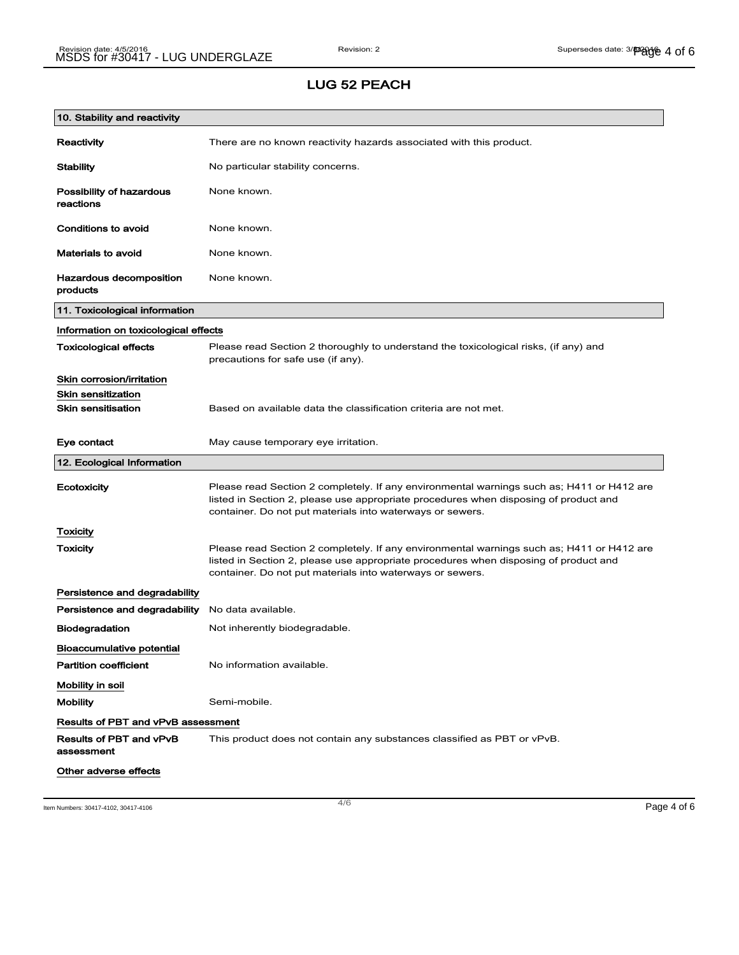| 10. Stability and reactivity              |                                                                                                                                                                                                                                                |
|-------------------------------------------|------------------------------------------------------------------------------------------------------------------------------------------------------------------------------------------------------------------------------------------------|
| Reactivity                                | There are no known reactivity hazards associated with this product.                                                                                                                                                                            |
| <b>Stability</b>                          | No particular stability concerns.                                                                                                                                                                                                              |
| Possibility of hazardous<br>reactions     | None known.                                                                                                                                                                                                                                    |
| Conditions to avoid                       | None known.                                                                                                                                                                                                                                    |
| <b>Materials to avoid</b>                 | None known.                                                                                                                                                                                                                                    |
| Hazardous decomposition<br>products       | None known.                                                                                                                                                                                                                                    |
| 11. Toxicological information             |                                                                                                                                                                                                                                                |
| Information on toxicological effects      |                                                                                                                                                                                                                                                |
| <b>Toxicological effects</b>              | Please read Section 2 thoroughly to understand the toxicological risks, (if any) and<br>precautions for safe use (if any).                                                                                                                     |
| Skin corrosion/irritation                 |                                                                                                                                                                                                                                                |
| <b>Skin sensitization</b>                 |                                                                                                                                                                                                                                                |
| <b>Skin sensitisation</b>                 | Based on available data the classification criteria are not met.                                                                                                                                                                               |
| Eye contact                               | May cause temporary eye irritation.                                                                                                                                                                                                            |
| 12. Ecological Information                |                                                                                                                                                                                                                                                |
|                                           |                                                                                                                                                                                                                                                |
| Ecotoxicity                               | Please read Section 2 completely. If any environmental warnings such as; H411 or H412 are<br>listed in Section 2, please use appropriate procedures when disposing of product and<br>container. Do not put materials into waterways or sewers. |
| Toxicity                                  |                                                                                                                                                                                                                                                |
| <b>Toxicity</b>                           | Please read Section 2 completely. If any environmental warnings such as; H411 or H412 are<br>listed in Section 2, please use appropriate procedures when disposing of product and<br>container. Do not put materials into waterways or sewers. |
| Persistence and degradability             |                                                                                                                                                                                                                                                |
| Persistence and degradability             | No data available.                                                                                                                                                                                                                             |
| <b>Biodegradation</b>                     | Not inherently biodegradable.                                                                                                                                                                                                                  |
| <b>Bioaccumulative potential</b>          |                                                                                                                                                                                                                                                |
| <b>Partition coefficient</b>              | No information available.                                                                                                                                                                                                                      |
| Mobility in soil                          |                                                                                                                                                                                                                                                |
| <b>Mobility</b>                           | Semi-mobile.                                                                                                                                                                                                                                   |
| <b>Results of PBT and vPvB assessment</b> |                                                                                                                                                                                                                                                |
| Results of PBT and vPvB<br>assessment     | This product does not contain any substances classified as PBT or vPvB.                                                                                                                                                                        |

Item Numbers: 30417-4102, 30417-4106 Page 4 of 6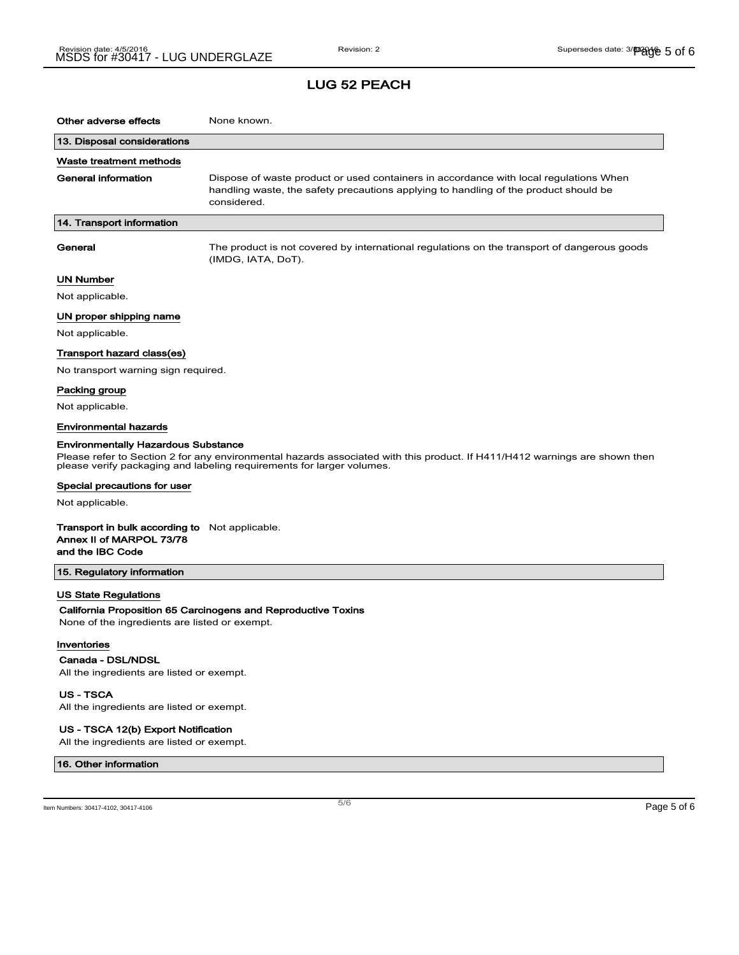### LUG 52 PEACH

| Other adverse effects                                                                                                                                                                                                                             | None known.                                                                                                                                                                                  |  |
|---------------------------------------------------------------------------------------------------------------------------------------------------------------------------------------------------------------------------------------------------|----------------------------------------------------------------------------------------------------------------------------------------------------------------------------------------------|--|
| 13. Disposal considerations                                                                                                                                                                                                                       |                                                                                                                                                                                              |  |
| Waste treatment methods                                                                                                                                                                                                                           |                                                                                                                                                                                              |  |
| <b>General information</b>                                                                                                                                                                                                                        | Dispose of waste product or used containers in accordance with local regulations When<br>handling waste, the safety precautions applying to handling of the product should be<br>considered. |  |
| 14. Transport information                                                                                                                                                                                                                         |                                                                                                                                                                                              |  |
| General                                                                                                                                                                                                                                           | The product is not covered by international regulations on the transport of dangerous goods<br>(IMDG, IATA, DoT).                                                                            |  |
| <b>UN Number</b>                                                                                                                                                                                                                                  |                                                                                                                                                                                              |  |
| Not applicable.                                                                                                                                                                                                                                   |                                                                                                                                                                                              |  |
| UN proper shipping name                                                                                                                                                                                                                           |                                                                                                                                                                                              |  |
| Not applicable.                                                                                                                                                                                                                                   |                                                                                                                                                                                              |  |
| Transport hazard class(es)                                                                                                                                                                                                                        |                                                                                                                                                                                              |  |
| No transport warning sign required.                                                                                                                                                                                                               |                                                                                                                                                                                              |  |
| Packing group                                                                                                                                                                                                                                     |                                                                                                                                                                                              |  |
| Not applicable.                                                                                                                                                                                                                                   |                                                                                                                                                                                              |  |
| <b>Environmental hazards</b>                                                                                                                                                                                                                      |                                                                                                                                                                                              |  |
| <b>Environmentally Hazardous Substance</b><br>Please refer to Section 2 for any environmental hazards associated with this product. If H411/H412 warnings are shown then<br>please verify packaging and labeling requirements for larger volumes. |                                                                                                                                                                                              |  |
| Special precautions for user                                                                                                                                                                                                                      |                                                                                                                                                                                              |  |
| Not applicable.                                                                                                                                                                                                                                   |                                                                                                                                                                                              |  |
| <b>Transport in bulk according to</b> Not applicable.<br>Annex II of MARPOL 73/78<br>and the IBC Code                                                                                                                                             |                                                                                                                                                                                              |  |
| 15. Regulatory information                                                                                                                                                                                                                        |                                                                                                                                                                                              |  |
| <b>US State Regulations</b><br>None of the ingredients are listed or exempt.<br>Inventories                                                                                                                                                       | California Proposition 65 Carcinogens and Reproductive Toxins                                                                                                                                |  |
| Canada - DSL/NDSL                                                                                                                                                                                                                                 |                                                                                                                                                                                              |  |
| All the ingredients are listed or exempt.                                                                                                                                                                                                         |                                                                                                                                                                                              |  |

US - TSCA

All the ingredients are listed or exempt.

#### US - TSCA 12(b) Export Notification

All the ingredients are listed or exempt.

#### 16. Other information